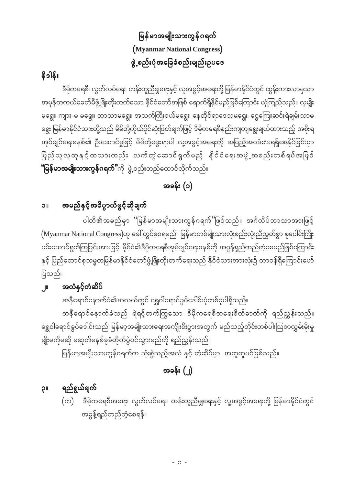# မြန်မာအမျိုးသားကွန်ဂရက် (Myanmar National Congress) ဖွဲ့စည်းပုံအခြေခံစည်းမျည်းဥပဒေ

## နိဒါန်း

ဒီမိုကရေစီ၊ လွတ်လပ်ရေး၊ တန်းတူညီမျှရေးနှင့် လူအခွင့်အရေးတို့ မြန်မာနိုင်ငံတွင် ထွန်းကားလာမှသာ အမှန်တကယ်ခေတ်မီဖွံ့ဖြိုးတိုးတက်သော နိုင်ငံတော်အဖြစ် ရောက်ရှိနိုင်မည်ဖြစ်ကြောင်း ယုံကြည်သည်။ လူမျိုး မရွေး၊ ကျား-မ မရွေး၊ ဘာသာမရွေး၊ အသက်ကြီးငယ်မရွေး၊ နေထိုင်ရာဒေသမရွေး၊ ငွေကြေးဆင်းရဲချမ်းသာမ ရွေး မြန်မာနိုင်ငံသားတို့သည် မိမိတို့ကိုယ်ပိုင်ဆုံးဖြတ်ချက်ဖြင့် ဒီမိုကရေစီနည်းကျကျရွေးချယ်ထားသည့် အစိုးရ အုပ်ချုပ်ရေးစနစ်၏ ဦးဆောင်မှုဖြင့် မိမိတို့မွေးရာပါ လူ့အခွင့်အရေးကို အပြည့်အဝခံစားရရှိစေနိုင်ခြင်းငှာ ပြည်သူလူထုနှင့် တသားတည်း လက်တွဲဆောင်ရွက်မည့် နိုင်ငံရေးအဖွဲ့အစည်းတစ်ရပ်အဖြစ် **"မြန်မာအမျိုးသားကွန်ဂရက်"**ကို ဖွဲ့စည်းတည်ထောင်လိုက်သည်။

## အခန်း (၁)

### အမည်နှင့်အဓိပ္ပာယ်ဖွင့်ဆိုချက်  $\overline{\mathsf{I}}$

ပါတီ၏အမည်မှာ "မြန်မာအမျိုးသားကွန်ဂရက်"ဖြစ်သည်။ အင်္ဂလိပ်ဘာသာအားဖြင့် (Myanmar National Congress)ဟု ခေါ် တွင်စေရမည်။ မြန်မာတစ်မျိုးသားလုံးစည်းလုံးညီညွှတ်စွာ စုပေါင်းကြိုး ပမ်းဆောင်ရွက်ကြခြင်းအားဖြင့်၊ နိုင်ငံ၏ဒီမိုကရေစီအုပ်ချုပ်ရေးစနစ်ကို အဓွန့်ရှည်တည်တံ့စေမည်ဖြစ်ကြောင်း နှင့် ပြည်ထောင်စုသမ္မတမြန်မာနိုင်ငံတော်ဖွံ့ဖြိုးတိုးတက်ရေးသည် နိုင်ငံသားအားလုံး၌ တာဝန်ရှိကြောင်းဖော် ပြသည်။

### အလံနှင့်တံဆိပ်  $\mathbb{I}$

အနီရောင်နောက်ခံ၏အလယ်တွင် ရွှေဝါရောင်ခွပ်ဒေါင်းပုံတစ်ခုပါရှိသည်။

အနီရောင်နောက်ခံသည် ရဲရင့်တက်ကြွသော ဒီမိုကရေစီအရေးစိတ်ဓာတ်ကို ရည်ညွှန်းသည်။ ရွှေဝါရောင်ခွပ်ဒေါင်းသည် မြန်မာ့အမျိုးသားရေးအကျိုးစီးပွားအတွက် မည်သည့်တိုင်းတစ်ပါးဩဇာလွှမ်းမိုးမှု မျိုးမကိုမဆို မဆုတ်မနစ်ခုခံတိုက်ပွဲဝင်သွားမည်ကို ရည်ညွှန်းသည်။

မြန်မာအမျိုးသားကွန်ဂရက်က သုံးစွဲသည့်အလံ နှင့် တံဆိပ်မှာ အတူတူပင်ဖြစ်သည်။

# အခန်း $(\cdot)$

### ရည်ရွယ်ချက်  $\mathbb{R}$

ဒီမိုကရေစီအရေး၊ လွတ်လပ်ရေး၊ တန်းတူညီမျှရေးနှင့် လူ့အခွင့်အရေးတို့ မြန်မာနိုင်ငံတွင် အဓွန့်ရှည်တည်တံ့စေရန်။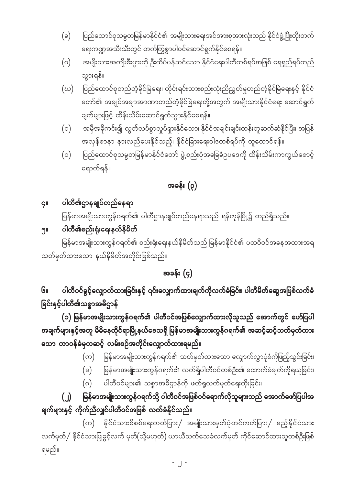- ပြည်ထောင်စုသမ္မတမြန်မာနိုင်ငံ၏ အမျိုးသားရေးအင်အားစုအားလုံးသည် နိုင်ငံဖွံ့ဖြိုးတိုးတက်  $(\varepsilon)$ ရေးကဏ္ဍအသီးသီးတွင် တက်ကြွစွာပါဝင်ဆောင်ရွက်နိုင်စေရန်။
- အမျိုးသားအကျိုးစီးပွားကို ဦးထိပ်ပန်ဆင်သော နိုင်ငံရေးပါတီတစ်ရပ်အဖြစ် ရေရှည်ရပ်တည်  $(\circ)$ သွားရန်။
- ပြည်ထောင်စုတည်တံ့ခိုင်မြဲရေး၊ တိုင်းရင်းသားစည်းလုံးညီညွတ်မှုတည်တံ့ခိုင်မြဲရေးနှင့် နိုင်ငံ (ဃ) တော်၏ အချုပ်အချာအာဏာတည်တံ့ခိုင်မြဲရေးတို့အတွက် အမျိုးသားနိုင်ငံရေး ဆောင်ရွက် ချက်များဖြင့် ထိန်းသိမ်းဆောင်ရွက်သွားနိုင်စေရန်။
- အမှီအခိုကင်း၍ လွတ်လပ်စွာလှုပ်ရှားနိုင်သော၊ နိုင်ငံအချင်းချင်းတန်းတူဆက်ဆံနိုင်ပြီး၊ အပြန်  $(c)$ အလှန်စာနာ နားလည်ပေးနိုင်သည့်၊ နိုင်ငံခြားရေးဝါဒတစ်ရပ်ကို ထူထောင်ရန်။
- ပြည်ထောင်စုသမ္မတမြန်မာနိုင်ငံတော် ဖွဲ့စည်းပုံအခြေခံဉပဒေကို ထိန်းသိမ်းကာကွယ်စောင့်  $(\circ)$ ရှောက်ရန်။

# အခန်း (၃)

### ပါတီ၏ဌာနချုပ်တည်နေရာ  $\overline{G}$ ll

မြန်မာအမျိုးသားကွန်ဂရက်၏ ပါတီဌာနချုပ်တည်နေရာသည် ရန်ကုန်မြို့၌ တည်ရှိသည်။

### ပါတီ<mark>င</mark>်္ချစည်းရုံးရေးနယ်နိမိတ် ງແ

မြန်မာအမျိုးသားကွန်ဂရက်၏ စည်းရုံးရေးနယ်နိမိတ်သည် မြန်မာနိုင်ငံ၏ ပထဝီဝင်အနေအထားအရ သတ်မှတ်ထားသော နယ်နိမိတ်အတိုင်းဖြစ်သည်။

# အခန်း (၄)

ပါတီဝင်ခွင့်လျှောက်ထားခြင်းနှင့် ၎င်းလျှောက်ထားချက်ကိုလက်ခံခြင်း၊ ပါတီမိတ်ဆွေအဖြစ်လက်ခံ  $6<sub>II</sub>$ ခြင်းနှင့်ပါတီ၏သစ္စာအဓိဌာန်

(၁) မြန်မာအမျိုးသားကွန်ဂရက်၏ ပါတီဝင်အဖြစ်လျှောက်ထားလိုသူသည် အောက်တွင် ဖော်ပြပါ အချက်များနှင့်အတူ မိမိနေထိုင်ရာမြို့နယ်ဒေသရှိ မြန်မာအမျိုးသားကွန်ဂရက်၏ အဆင့်ဆင့်သတ်မှတ်ထား သော တာဝန်ခံမှတဆင့် လမ်းစဉ်အတိုင်းလျှောက်ထားရမည်။

- (က) မြန်မာအမျိုးသားကွန်ဂရက်၏ သတ်မှတ်ထားသော လျှောက်လွှာပုံစံကိုဖြည့်သွင်းခြင်း၊
- မြန်မာအမျိုးသားကွန်ဂရက်၏ လက်ရှိပါတီဝင်တစ်ဦး၏ ထောက်ခံချက်ကိုရယူခြင်း၊  $(\circ)$
- ပါတီဝင်များ၏ သစ္စာအဓိဌာန်ကို ဖတ်ရှုလက်မှတ်ရေးထိုးခြင်း၊  $(\circ)$

### မြန်မာအမျိုးသားကွန်ဂရက်သို့ ပါတီဝင်အဖြစ်ဝင်ရောက်လိုသူများသည် အောက်ဖော်ပြပါအ  $\left( \begin{array}{c} \end{array} \right)$ ချက်များနှင့် ကိုက်ညီလျှင်ပါတီဝင်အဖြစ် လက်ခံနိုင်သည်။

(က) နိုင်ငံသားစိစစ်ရေးကတ်ပြား/ အမျိုးသားမှတ်ပုံတင်ကတ်ပြား/ ဧည့်နိုင်ငံသား လက်မှတ်/ နိုင်ငံသားပြုခွင့်လက် မှတ်(သို့မဟုတ်) ယာယီသက်သေခံလက်မှတ် ကိုင်ဆောင်ထားသူတစ်ဦးဖြစ် ရမည်။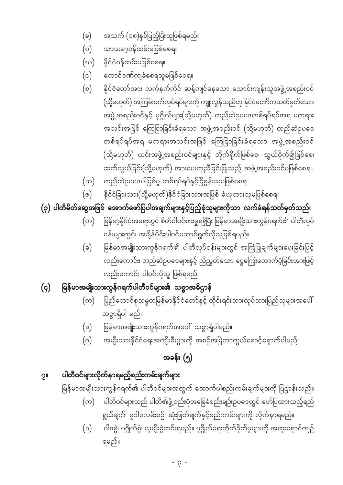- ဝါဒစွဲ၊ ပုဂ္ဂိုလ်စွဲ၊ လူမျိုးစွဲကင်းရမည်။ ပုဂ္ဂိုလ်ရေးတိုက်ခိုက်မှုများကို အထူးရှောင်ကျဉ်  $(\varepsilon)$ ရမည်။
- ပါတီဝင်များသည် ပါတီ၏ဖွဲ့စည်းပုံအခြေခံစည်းမျဉ်းဥပဒေတွင် ဖော်ပြထားသည့်ရည်  $(\infty)$ ရွယ်ချက်၊ မူဝါဒလမ်းစဉ်၊ ဆုံးဖြတ်ချက်နှင့်စည်းကမ်းများကို လိုက်နာရမည်။
- 
- 
- 
- မြန်မာအမျိုးသားကွန်ဂရက်၏ ပါတီဝင်များအတွက် အောက်ပါစည်းကမ်းချက်များကို ပြဋ္ဌာန်းသည်။
- အမျိုးသားနိုင်ငံရေးအကျိုးစီးပွားကို အစဉ်အမြဲကာကွယ်စောင့်ရှောက်ပါမည်။  $(\circ)$ အခန်း (၅)
- မြန်မာအမျိုးသားကွန်ဂရက်အပေါ် သစ္စာရှိပါမည်။  $(\circ)$
- သစ္စာရှိပါ မည်။
- ပြည်ထောင်စုသမ္မတမြန်မာနိုင်ငံတော်နှင့် တိုင်းရင်းသားလုပ်သားပြည်သူများအပေါ်  $(\infty)$
- မြန်မာအမျိုးသားကွန်ဂရက်ပါတီဝင်များ၏ သစ္စာအဓိဌာန်  $(q)$

ပါတီဝင်များလိုက်နာရမည့်စည်းကမ်းချက်များ

 $2<sub>II</sub>$ 

- မြန်မာအမျိုးသားကွန်ဂရက်၏ ပါတီလုပ်ငန်းများတွင် အကြံပြုချက်များပေးခြင်းဖြင့်  $(\circ)$ လည်းကောင်း၊ တည်ဆဲဉပဒေများနှင့် ညီညွတ်သော ငွေကြေးထောက်ပံ့ခြင်းအားဖြင့် လည်းကောင်း ပါဝင်လိုသူ ဖြစ်ရမည်။
- မြန်မာ့နိုင်ငံအရေးတွင် စိတ်ပါဝင်စားမှုရရှိပြီး မြန်မာအမျိုးသားကွန်ဂရက်၏ ပါတီလုပ်  $(\infty)$ ငန်းများတွင်၊ အချိန်ပိုင်းပါဝင်ဆောင်ရွက်လိုသူဖြစ်ရမည်။
- (၃) ပါတီမိတ်ဆွေအဖြစ် အောက်ဖော်ပြပါအချက်များနှင့်ပြည့်စုံသူများကိုသာ လက်ခံရန်သတ်မှတ်သည်။
- နိုင်ငံခြားသား(သို့မဟုတ်)နိုင်ငံခြားသားအဖြစ် ခံယူထားသူမဖြစ်စေရ။  $(\circ)$
- (ဆ) တည်ဆဲဉပဒေပါပြစ်မှု တစ်ရပ်ရပ်နှင့်ငြိစွန်းသူမဖြစ်စေရ။
- နိုင်ငံတော်အား လက်နက်ကိုင် ဆန့်ကျင်နေသော သောင်းကျန်းသူအဖွဲ့ အစည်းဝင်  $(\circ)$ (သို့မဟုတ်) အကြမ်းဖက်လုပ်ရပ်များကို ကျူးလွန်သည်ဟု နိုင်ငံတော်ကသတ်မှတ်သော အဖွဲ့ အစည်းဝင်နှင့် ပုဂ္ဂိုလ်များ(သို့မဟုတ်) တည်ဆဲဉပဒေတစ်ရပ်ရပ်အရ မတရား အသင်းအဖြစ် ကြေငြာခြင်းခံရသော အဖွဲ့အစည်းဝင် (သို့မဟုတ်) တည်ဆဲဉပဒေ တစ်ရပ်ရပ်အရ မတရားအသင်းအဖြစ် ကြေငြာခြင်းခံရသော အဖွဲ့အစည်းဝင် (သို့မဟုတ်) ယင်းအဖွဲ့အစည်းဝင်များနှင့် တိုက်ရိုက်ဖြစ်စေ၊ သွယ်ဝိုက်၍ဖြစ်စေ၊ ဆက်သွယ်ခြင်း(သို့မဟုတ်) အားပေးကူညီခြင်းပြုသည့် အဖွဲ့အစည်းဝင်မဖြစ်စေရ။
- ထောင်ဒဏ်ကျခံစေရသူမဖြစ်စေရ။  $(c)$
- (ဃ) နိုင်ငံဝန်ထမ်းမဖြစ်စေရ။
- $(\circ)$ သာသနၥ့ဝန်ထမ်းမဖြစ်စေရ။
- အသက် (၁၈)နှစ်ပြည့်ပြီးသူဖြစ်ရမည်။  $(\circ)$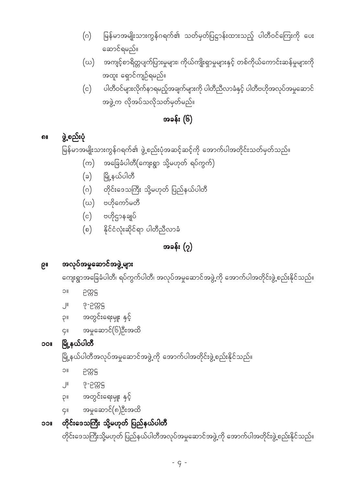တိုင်းဒေသကြီးသို့မဟုတ် ပြည်နယ်ပါတီအလုပ်အမှုဆောင်အဖွဲ့ ကို အောက်ပါအတိုင်းဖွဲ့စည်းနိုင်သည်။

## ၁၁။ တိုင်းဒေသကြီး သို့မဟုတ် ပြည်နယ်ပါတီ

- ၄။ အမှုဆောင်(၈)ဦးအထိ
- ၃။ အတွင်းရေးမှူး နှင့်
- 
- 
- ၂။ ဒု-ဉက္ကဋ္ဌ
- 
- 
- ၁။ ဉက္ကဋ္ဌ
- မြို့နယ်ပါတီအလုပ်အမှုဆောင်အဖွဲ့ကို အောက်ပါအတိုင်းဖွဲ့စည်းနိုင်သည်။

## ၁၀။ မြို့နယ်ပါတီ

- ၄။ အမှုဆောင်(၆)ဦးအထိ
- ၃။ အတွင်းရေးမှူး နှင့်
- ၂။ ဒု-ဉက္ကဋ္ဌ
- 
- ၁။ ဉက္ကဋ္ဌ

ကျေးရွာအခြေခံပါတီ၊ ရပ်ကွက်ပါတီ၊ အလုပ်အမှုဆောင်အဖွဲ့ ကို အောက်ပါအတိုင်းဖွဲ့ စည်းနိုင်သည်။

### ၉။ အလုပ်အမှုဆောင်အဖွဲ့များ

## အခန်း $(2)$

- $(0)$  နိုင်ငံလုံးဆိုင်ရာ ပါတီညီလာခံ
- (c) ဗဟိုဌာနချုပ်
- $(\omega)$  ဗဟိုကော်မတီ
- (ဂ) တိုင်းဒေသကြီး သို့မဟုတ် ပြည်နယ်ပါတီ
- (ခ) မြို့နယ်ပါတီ
- $\big($ က) အခြေခံပါတီ $\big($ ကျေးရွာ သို့မဟုတ် ရပ်ကွက် $\big)$

မြန်မာအမျိုးသားကွန်ဂရက်၏ ဖွဲ့စည်းပုံအဆင့်ဆင့်ကို အောက်ပါအတိုင်းသတ်မှတ်သည်။

## ၈။ ဖွဲ့စည်းပုံ

# အခန်း $(6)$

# အထူး ရှောင်ကျဉ်ရမည်။  $\left( c \right)$  ပါတီဝင်များလိုက်နာရမည့်အချက်များကို ပါတီညီလာခံနှင့် ပါတီဗဟိုအလုပ်အမှုဆောင် အဖွဲ့က လိုအပ်သလိုသတ်မှတ်မည်။

- ဆောင်ရမည်။  ${\rm (}\omega{\rm )}$  အကျင့်စာရိတ္တပျက်ပြားမှုများ၊ ကိုယ်ကျိုးရှာမှုများနှင့် တစ်ကိုယ်ကောင်းဆန်မှုများကို
- (ဂ) မြန်မာအမျိုးသားကွန်ဂရက်၏ သတ်မှတ်ပြဋ္ဌာန်းထားသည့် ပါတီဝင်ကြေးကို ပေး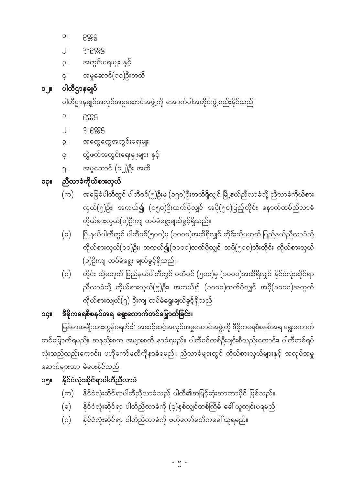- (ဂ) နိုင်ငံလုံးဆိုင်ရာ ပါတီညီလာခံကို ဗဟိုကော်မတီကခေါ် ယူရမည်။
- (ခ) နိုင်ငံလုံးဆိုင်ရာ ပါတီညီလာခံကို (၄)နှစ်လျှင်တစ်ကြိမ် ခေါ် ယူကျင်းပရမည်။
- 
- 
- 
- $\left( \infty \right)$  နိုင်ငံလုံးဆိုင်ရာပါတီညီလာခံသည် ပါတီ၏အမြင့်ဆုံးအာဏာပိုင် ဖြစ်သည်။
- 
- 
- 
- 
- 

၁။ ဉက္ကဋ္ဌ

၁၂။ ပါတီဌာနချုပ်

၁။ ဉက္ကဋ္ဌ

၂။ ဒု-ဉက္ကဋ္ဌ

၁၃။ ညီလာခံကိုယ်စားလှယ်

ဆောင်များသာ မဲပေးနိုင်သည်။

၁၅။ နိုင်ငံလုံးဆိုင်ရာပါတီညီလာခံ

၂။ ဒု-ဉက္ကဋ္ဌ

၃။ အတွင်းရေးမှူး နှင့်

 $\varsigma$ ။ အမှုဆောင် $(\circ \circ)$ ဦးအထိ

၃။ အထွေထွေအတွင်းရေးမှူး

၅။ အမှုဆောင် (၁၂)ဦး အထိ

၄။ တွဲဖက်အတွင်းရေးမှူးများ နှင့်

ပါတီဌာနချုပ်အလုပ်အမှုဆောင်အဖွဲ့ကို အောက်ပါအတိုင်းဖွဲ့စည်းနိုင်သည်။

ကိုယ်စားလှယ်(၁)ဦးကျ ထပ်မံရွေးချယ်ခွင့်ရှိသည်။

ကိုယ်စားလျယ်(၅) ဦးကျ ထပ်မံရွေးချယ်ခွင့်ရှိသည်။

(၁)ဦးကျ ထပ်မံရွေး ချယ်ခွင့်ရှိသည်။

၁၄။ ဒီမိုကရေစီစနစ်အရ ရွေးကောက်တင်မြှောက်ခြင်း။

(က) အခြေခံပါတီတွင် ပါတီဝင်(၅)ဦးမှ (၁၅၀)ဦးအထိရှိလျှင် မြို့နယ်ညီလာခံသို့ ညီလာခံကိုယ်စား

(ခ) မြို့နယ်ပါတီတွင် ပါတီဝင်(၅၀၀)မှ (၁၀၀၀)အထိရှိလျှင် တိုင်းသို့မဟုတ် ပြည်နယ်ညီလာခံသို့

(ဂ) တိုင်း သို့မဟုတ် ပြည်နယ်ပါတီတွင် ပတီဝင် (၅၀၀)မှ (၁၀၀၀)အထိရှိလျှင် နိုင်ငံလုံးဆိုင်ရာ

မြန်မာအမျိုးသားကွန်ဂရက်၏ အဆင့်ဆင့်အလုပ်အမှုဆောင်အဖွဲ့ကို ဒီမိုကရေစီစနစ်အရ ရွေးကောက်

တင်မြှောက်ရမည်။ အနည်းစုက အများစုကို နာခံရမည်။ ပါတီဝင်တစ်ဦးချင်းစီလည်းကောင်း၊ ပါတီတစ်ရပ်

လုံးသည်လည်းကောင်း၊ ဗဟိုကော်မတီကိုနာခံရမည်။ ညီလာခံများတွင် ကိုယ်စားလှယ်များနှင့် အလုပ်အမှု

လှယ်(၅)ဦး၊ အကယ်၍ (၁၅၀)ဦးထက်ပိုလျှင် အပို(၅၀)ပြည့်တိုင်း နောက်ထပ်ညီလာခံ

ကိုယ်စားလှယ်(၁၀)ဦး၊ အကယ်၍(၁၀၀၀)ထက်ပိုလျှင် အပို(၅၀၀)တိုးတိုင်း ကိုယ်စားလှယ်

ညီလာခံသို့ ကိုယ်စားလှယ်(၅)ဦး၊ အကယ်၍ (၁၀၀၀)ထက်ပိုလျှင် အပို(၁၀၀၀)အတွက်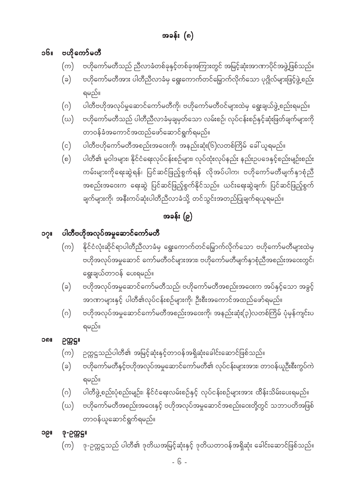- 6 -

- ၁၉။ ဒု-ဉက္ကဋ္ဌ။
- $\left(\omega\right)$  ဗဟိုကော်မတီအစည်းအဝေးနှင့် ဗဟိုအလုပ်အမှုဆောင်အစည်းဝေးတို့တွင် သဘာပတိအဖြစ် တာဝန်ယူဆောင်ရွက်ရမည်။

 $\left( \varpi\right)$  ႏုဉက္ကဋ္ဌသည် ပါတီ၏ ဒုတိယအမြင့်ဆုံးနှင့် ဒုတိယတာဝန်အရှိဆုံး ခေါင်းဆောင်ဖြစ်သည်။

- ရမည်။  $\phi(\alpha)$  ပါတီဖွဲ့စည်းပုံစည်းမျဉ်း၊ နိုင်ငံရေးလမ်းစဉ်နှင့် လုပ်ငန်းစဉ်များအား ထိန်းသိမ်းပေးရမည်။
- (ခ) ဗဟိုကော်မတီနှင့်ဗဟိုအလုပ်အမှုဆောင်ကော်မတီ၏ လုပ်ငန်းများအား၊ တာဝန်ယူဉီးစီးကွပ်ကဲ
- $\left( \infty\right)$  ဉက္ကဋ္ဌသည်ပါတီ၏ အမြင့်ဆုံးနှင့်တာဝန်အရှိဆုံးခေါင်းဆောင်ဖြစ်သည်။
- ၁၈။ ဥက္ကဌ။
	-
- $\left( \circ \right)$  ဗဟိုအလုပ်အမှုဆောင်ကော်မတီအစည်းအဝေးကို၊ အနည်းဆုံး $\left( \circ \right)$ လတစ်ကြိမ် ပုံမှန်ကျင်းပ ရမည်။
- (ခ) ဗဟိုအလုပ်အမှုဆောင်ကော်မတီသည်၊ ဗဟိုကော်မတီအစည်းအဝေးက အပ်နှင့်သော အခွင့် အာဏာများနှင့် ပါတီ၏လုပ်ငန်းစဉ်များကို၊ ဦးစီးအကောင်အထည်ဖော်ရမည်။
- $\left( \infty \right)$  နိုင်ငံလုံးဆိုင်ရာပါတီညီလာခံမှ ရွေးကောက်တင်မြှောက်လိုက်သော ဗဟိုကော်မတီများထဲမှ ဗဟိုအလုပ်အမှုဆောင် ကော်မတီဝင်များအား၊ ဗဟိုကော်မတီမျက်နှာစုံညီအစည်းအဝေးတွင်၊ ရွေးချယ်တာဝန် ပေးရမည်။
- ၁၇။ ပါတီဗဟိုအလုပ်အမှုဆောင်ကော်မတီ

# အခန်း  $(e)$

- $\rho(\)$  ပါတီ၏ မူဝါဒများ၊ နိုင်ငံရေးလုပ်ငန်းစဉ်များ၊ လုပ်ထုံးလုပ်နည်း နည်းဉပဒေနှင့်စည်းမျဉ်းစည်း ကမ်းများကိုရေးဆွဲရန်၊ ပြင်ဆင်ဖြည့်စွက်ရန် လိုအပ်ပါက၊ ဗဟိုကော်မတီမျက်နှာစုံညီ အစည်းအဝေးက ရေးဆွဲ ပြင်ဆင်ဖြည့်စွက်နိုင်သည်။ ယင်းရေးဆွဲချက်၊ ပြင်ဆင်ဖြည့်စွက် ချက်များကို၊ အနီးကပ်ဆုံးပါတီညီလာခံသို့ တင်သွင်းအတည်ပြုချက်ရယူရမည်။
- တာဝန်ခံအကောင်အထည်ဖော်ဆောင်ရွက်ရမည်။ (c) ပါတီဗဟိုကော်မတီအစည်းအဝေးကို၊ အနည်းဆုံး(၆)လတစ်ကြိမ် ခေါ် ယူရမည်။
- ${\rm (}\omega{\rm )}$  ဝဟိုကော်မတီသည် ပါတီညီလာခံမှချမှတ်သော လမ်းစဉ်၊ လုပ်ငန်းစဉ်နှင့်ဆုံးဖြတ်ချက်များကို
- (ဂ) ပါတီဗဟိုအလုပ်မှုဆောင်ကော်မတီကို၊ ဗဟိုကော်မတီဝင်များထဲမှ ရွေးချယ်ဖွဲ့စည်းရမည်။
- ရမည်။
- (ခ) ဗဟိုကော်မတီအား ပါတီညီလာခံမှ ရွေးကောက်တင်မြှောက်လိုက်သော ပုဂ္ဂိုလ်များဖြင့်ဖွဲ့စည်း
- $\left( \infty \right)$  ဗဟိုကော်မတီသည် ညီလာခံတစ်ခုနှင့်တစ်ခုအကြားတွင် အမြင့်ဆုံးအာဏာပိုင်အဖွဲ့ဖြစ်သည်။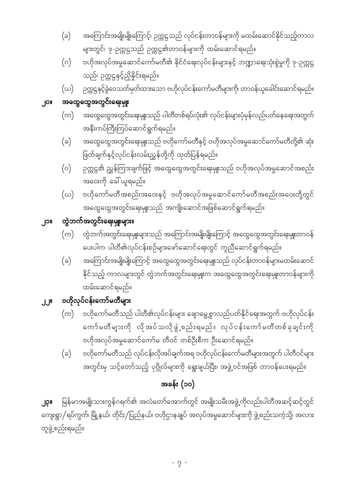တူဖွဲ့စည်းရမည်။

# အခန်း $($ ၁၀)

- **၂၃။** မြန်မာအမျိုးသားကွန်ဂရက်၏ အလံတော်အောက်တွင် အမျိုးသမီးအဖွဲ့ကိုလည်းပါတီအဆင့်ဆင့်တွင် ကျေးရွာ/ရပ်ကွက်၊ မြို့နယ်၊ တိုင်း/ပြည်နယ်၊ ဗဟိုဌာနချုပ် အလုပ်အမှုဆောင်များကို ဖွဲ့စည်းသကဲ့သို့၊ အလား
- (ခ) ပတိုကော်မတီသည် လုပ်ငန်းလိုအပ်ချက်အရ ဗဟိုလုပ်ငန်းကော်မတီများအတွက် ပါတီဝင်များ အတွင်းမှ သင့်တော်သည့် ပုဂ္ဂိုလ်များကို ရွေးချယ်ပြီး၊ အဖွဲ့ဝင်အဖြစ် တာဝန်ပေးရမည်။
- $\left( \infty\right)$  ဗဟိုကော်မတီသည် ပါတီ၏လုပ်ငန်းများ ချောမွေ့စွာလည်ပတ်နိုင်ရေးအတွက် ဗဟိုလုပ်ငန်း ကော်မတီများကို လိုအပ်သလိုဖွဲ့စည်းရမည်။ လုပ်ငန်းကော်မတီတစ်ခုချင်းကို ဗဟိုအလုပ်အမှုဆောင်ကော်မ တီဝင် တစ်ဦးစီက ဦးဆောင်ရမည်။
- ၂၂။ ဗဟိုလုပ်ငန်းကော်မတီများ
- (ခ) အကြောင်းအမျိုးမျိုးကြောင့် အထွေထွေအတွင်းရေးမှုုးသည် လုပ်ငန်းတာဝန်များမထမ်းဆောင် နိုင်သည့် ကာလများတွင် တွဲဘက်အတွင်းရေးမှူးက အထွေထွေအတွင်းရေးမှူးတာဝန်များကို ထမ်းဆောင်ရမည်။
- $\left(\varpi\right)$  တွဲဘက်အတွင်းရေးမှူးများသည် အကြောင်းအမျိုးမျိုးကြောင့် အထွေထွေအတွင်းရေးမှူးတာဝန် ပေးပါက ပါတီ၏လုပ်ငန်းစဉ်များဖော်ဆောင်ရေးတွင် ကူညီဆောင်ရွက်ရမည်။

# ၂၁။ တွဲဘက်အတွင်း<mark>ရေးမှ</mark>ူးများ။

- $f(\omega)$  ဗဟိုကော်မတီအစည်းအဝေးနှင့် ဗဟိုအလုပ်အမှုဆောင်ကော်မတီအစည်းအဝေးတို့တွင် အထွေထွေအတွင်းရေးမှူးသည် အကျိုးဆောင်အဖြစ်ဆောင်ရွက်ရမည်။
- အဝေးကို ခေါ် ယူရမည်။
- ဖြတ်ချက်နှင့်လုပ်ငန်းလမ်းညွှန်တို့ကို ထုတ်ပြန်ရမည်။  $\left( \circ \right)$  ဉက္ကဋ္ဌ၏ ညွှန်ကြားချက်ဖြင့် အထွေထွေအတွင်းရေးမှူးသည် ဗဟိုအလုပ်အမှုဆောင်အစည်း
- အနီးကပ်ကြီးကြပ်ဆောင်ရွက်ရမည်။  $\left( \circ \right)$  အထွေထွေအတွင်းရေးမှူးသည် ဗဟိုကော်မတီနှင့် ဗဟိုအလုပ်အမှုဆောင်ကော်မတီတို့၏ ဆုံး
- $\left( \infty\right)$  အထွေထွေအတွင်းရေးမှူးသည် ပါတီတစ်ရပ်လုံး၏ လုပ်ငန်းများပုံမှန်လည်ပတ်နေရေးအတွက်

## ၂၀။ အထွေထွေအတွင်းရေးမှူ<mark>း</mark>

- သည်၊ ဉက္ကဋ္ဌနှင့်ညှိနှိုင်းရမည်။  ${\rm (}\omega{\rm )}$   $\;$  ဉက္ကဋ္ဌနှင့်ခွဲဝေသတ်မှတ်ထားသော ဗဟိုလုပ်ငန်းကော်မတီများကို၊ တာဝန်ယူခေါင်းဆောင်ရမည်။
- များတွင်၊ ဒု-ဉက္ကဋ္ဌသည် ဉက္ကဋ္ဌ၏တာဝန်များကို ထမ်းဆောင်ရမည်။ (ဂ) ဗဟိုအလုပ်အမှုဆောင်ကော်မတီ၏ နိုင်ငံရေးလုပ်ငန်းများနှင့် ဘဏ္ဍာရေးသုံးစွဲမှုကို ဒု-ဉက္ကဋ္ဌ
- $\phi(\Theta)$  အကြောင်းအမျိုးမျိုးကြောင့်၊ ဉက္ကဋ္ဌသည် လုပ်ငန်းတာဝန်များကို မထမ်းဆောင်နိုင်သည့်ကာလ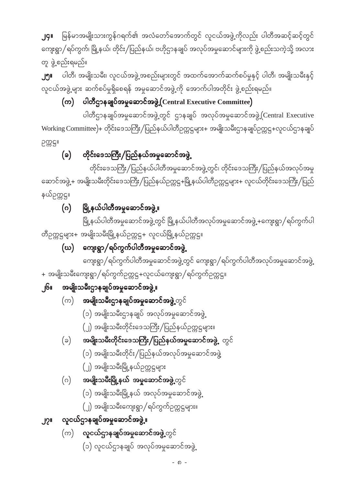- (၁) လူငယ်ဌာနချုပ် အလုပ်အမှုဆောင်အဖွဲ့
- $\left( \infty \right)$  လူငယ်ဌာနချုပ်အမှုဆော<mark>င်အဖွဲ့</mark>့တွင်

### လူငယ်ဌာနချုပ်အမှုဆောင်အဖွဲ့။  $J2^{\prime\prime}$

- (၂) အမျိုးသမီးကျေးရွာ/ရပ်ကွက်ဉက္ကဋ္ဌများ။
- (၁) အမျိုးသမီးမြို့နယ် အလုပ်အမှုဆောင်အဖွဲ့
- **အမျိုးသမီးမြို့နယ် အမှုဆောင်အဖွဲ့့**တွင်  $(\circ)$
- (၂) အမျိုးသမီးမြို့နယ်ဉက္ကဋ္ဌများ
- (၁) အမျိုးသမီးတိုင်း/ပြည်နယ်အလုပ်အမှုဆောင်အဖွဲ့
- **အမျိုးသမီးတိုင်းဒေသကြီး/ပြည်နယ်အမှုဆောင်အဖွဲ့** တွင်  $(\varepsilon)$
- (၂) အမျိုးသမီးတိုင်းဒေသကြီး/ပြည်နယ်ဉက္ကဋ္ဌများ။
- (၁) အမျိုးသမီးဌာနချုပ် အလုပ်အမှုဆောင်အဖွဲ့
- $\left( \infty \right)$  အမျိုးသမီးဌာနချုပ်အမှုဆော<mark>င်အဖွဲ့</mark>.တွင်
- ၂၆။ အမျိုးသမီးဌာနချုပ်အမှုဆောင်အဖွဲ့**။**
- + အမျိုးသမီးကျေးရွာ/ရပ်ကွက်ဉက္ကဋ္ဌ+လူငယ်ကျေးရွာ/ရပ်ကွက်ဉက္ကဋ္ဌ။
- ကျေးရွာ/ရပ်ကွက်ပါတီအမှုဆောင်အဖွဲ့တွင် ကျေးရွာ/ရပ်ကွက်ပါတီအလုပ်အမှုဆောင်အဖွဲ့
- (ဃ) ကျေးရွာ/ရပ်ကွက်ပါတီအမှုဆောင်အဖွဲ့

မြို့နယ်ပါတီအမှုဆောင်အဖွဲ့တွင် မြို့နယ်ပါတီအလုပ်အမှုဆောင်အဖွဲ့ +ကျေးရွာ/ရပ်ကွက်ပါ တီဥက္ကဋ္ဌများ+ အမျိုးသမီးမြို့နယ်ဥက္ကဋ္ဌ+ လူငယ်မြို့နယ်ဥက္ကဋ္ဌ။

### မြို့နယ်ပါတီအမှုဆောင်အဖွဲ့<mark>။</mark>  $\bigcirc$

နယ်ဥက္ကဋ္ဌ။

တိုင်းဒေသကြီး/ပြည်နယ်ပါတီအမှုဆောင်အဖွဲ့တွင်၊ တိုင်းဒေသကြီး/ပြည်နယ်အလုပ်အမှု ဆောင်အဖွဲ့+ အမျိုးသမီးတိုင်းဒေသကြီး/ပြည်နယ်ဉက္ကဋ္ဌ+မြို့နယ်ပါတီဉက္ကဋ္ဌများ+ လူငယ်တိုင်းဒေသကြီး/ပြည်

### တိုင်းဒေသကြီး/ပြည်နယ်အမှုဆောင်အဖွဲ့  $(a)$

ပါတီဌာနချုပ်အမှုဆောင်အဖွဲ့တွင် ဌာနချုပ် အလုပ်အမှုဆောင်အဖွဲ့ (Central Executive Working Committee)+ တိုင်းဒေသကြီး/ပြည်နယ်ပါတီဉက္ကဋ္ဌများ+ အမျိုးသမီးဌာနချုပ်ဉက္ကဋ္ဌ+လူငယ်ဌာနချုပ် ဥက္ကဋ္ဌ။

(က) ပါတီဌာနချုပ်အမှုဆောင်အဖွဲ့ (Central Executive Committee)

တူ ဖွဲ့စည်းရမည်။ ပါတီ၊ အမျိုးသမီး၊ လူငယ်အဖွဲ့ အစည်းများတွင် အထက်အောက်ဆက်စပ်မှုနှင့် ပါတီ၊ အမျိုးသမီးနှင့် ၂၅။ လူငယ်အဖွဲ့ များ ဆက်စပ်မှုရှိစေရန် အမှုဆောင်အဖွဲ့ကို အောက်ပါအတိုင်း ဖွဲ့စည်းရမည်။

မြန်မာအမျိုးသားကွန်ဂရက်၏ အလံတော်အောက်တွင် လူငယ်အဖွဲ့ကိုလည်း ပါတီအဆင့်ဆင့်တွင် **J**GIL ကျေးရွာ/ရပ်ကွက်၊ မြို့နယ်၊ တိုင်း/ပြည်နယ်၊ ဗဟိုဌာနချုပ် အလုပ်အမှုဆောင်များကို ဖွဲ့စည်းသကဲ့သို့ အလား